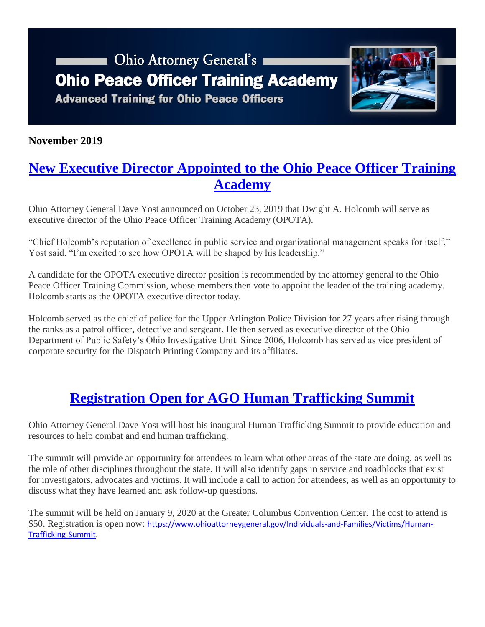# Ohio Attorney General's **Ohio Peace Officer Training Academy Advanced Training for Ohio Peace Officers**



### **November 2019**

### **[New Executive Director Appointed to the Ohio Peace Officer Training](https://www.ohioattorneygeneral.gov/Media/News-Releases/October-2019/Ohio-Peace-Officer-Training-Academy-Executive-Dire)  [Academy](https://www.ohioattorneygeneral.gov/Media/News-Releases/October-2019/Ohio-Peace-Officer-Training-Academy-Executive-Dire)**

Ohio Attorney General Dave Yost announced on October 23, 2019 that Dwight A. Holcomb will serve as executive director of the Ohio Peace Officer Training Academy (OPOTA).

"Chief Holcomb's reputation of excellence in public service and organizational management speaks for itself," Yost said. "I'm excited to see how OPOTA will be shaped by his leadership."

A candidate for the OPOTA executive director position is recommended by the attorney general to the Ohio Peace Officer Training Commission, whose members then vote to appoint the leader of the training academy. Holcomb starts as the OPOTA executive director today.

Holcomb served as the chief of police for the Upper Arlington Police Division for 27 years after rising through the ranks as a patrol officer, detective and sergeant. He then served as executive director of the Ohio Department of Public Safety's Ohio Investigative Unit. Since 2006, Holcomb has served as vice president of corporate security for the Dispatch Printing Company and its affiliates.

## **Registration Open for AGO [Human Trafficking Summit](https://www.ohioattorneygeneral.gov/Individuals-and-Families/Victims/Human-Trafficking-Summit)**

Ohio Attorney General Dave Yost will host his inaugural Human Trafficking Summit to provide education and resources to help combat and end human trafficking.

The summit will provide an opportunity for attendees to learn what other areas of the state are doing, as well as the role of other disciplines throughout the state. It will also identify gaps in service and roadblocks that exist for investigators, advocates and victims. It will include a call to action for attendees, as well as an opportunity to discuss what they have learned and ask follow-up questions.

The summit will be held on January 9, 2020 at the Greater Columbus Convention Center. The cost to attend is \$50. Registration is open now: [https://www.ohioattorneygeneral.gov/Individuals-and-Families/Victims/Human-](https://www.ohioattorneygeneral.gov/Individuals-and-Families/Victims/Human-Trafficking-Summit)[Trafficking-Summit.](https://www.ohioattorneygeneral.gov/Individuals-and-Families/Victims/Human-Trafficking-Summit)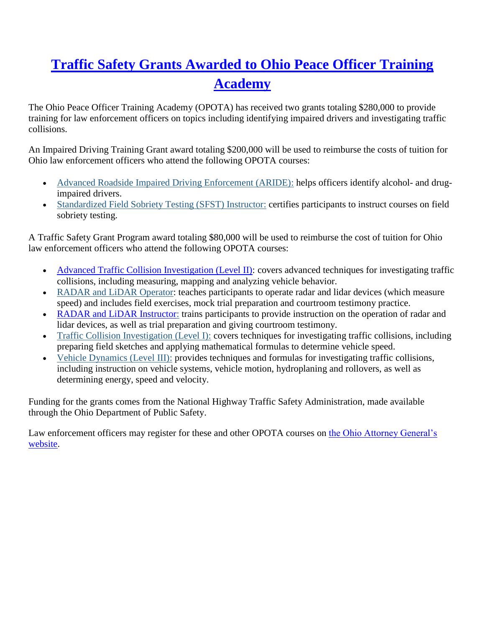## **[Traffic Safety Grants Awarded to Ohio Peace Officer Training](https://www.ohioattorneygeneral.gov/Media/News-Releases/October-2019/Traffic-Safety-Grants-Awarded-to-Ohio-Peace-Office)  [Academy](https://www.ohioattorneygeneral.gov/Media/News-Releases/October-2019/Traffic-Safety-Grants-Awarded-to-Ohio-Peace-Office)**

The Ohio Peace Officer Training Academy (OPOTA) has received two grants totaling \$280,000 to provide training for law enforcement officers on topics including identifying impaired drivers and investigating traffic collisions.

An Impaired Driving Training Grant award totaling \$200,000 will be used to reimburse the costs of tuition for Ohio law enforcement officers who attend the following OPOTA courses:

- [Advanced Roadside Impaired Driving Enforcement \(ARIDE\):](https://www.ohioattorneygeneral.gov/Law-Enforcement/Ohio-Peace-Officer-Training-Academy/Course-Catalog/Course-Categories/Patrol-Courses/ARIDE-(Advanced-Roadside-Impaired-Driving-Enforcem) helps officers identify alcohol- and drugimpaired drivers.
- [Standardized Field Sobriety Testing \(SFST\) Instructor:](https://www.ohioattorneygeneral.gov/Law-Enforcement/Ohio-Peace-Officer-Training-Academy/Course-Catalog/Course-Categories/Instructor-Training-Courses/SFST-(Standardized-Field-Sobriety-Testing)-Instruc) certifies participants to instruct courses on field sobriety testing.

A Traffic Safety Grant Program award totaling \$80,000 will be used to reimburse the cost of tuition for Ohio law enforcement officers who attend the following OPOTA courses:

- [Advanced Traffic Collision Investigation \(Level II\):](https://www.ohioattorneygeneral.gov/Law-Enforcement/Ohio-Peace-Officer-Training-Academy/Course-Catalog/Course-Categories/Traffic-Courses#OPOTA1260) covers advanced techniques for investigating traffic collisions, including measuring, mapping and analyzing vehicle behavior.
- [RADAR and LiDAR Operator:](https://www.ohioattorneygeneral.gov/Law-Enforcement/Ohio-Peace-Officer-Training-Academy/Course-Catalog/Course-Categories/Traffic-Courses/RADAR-and-LIDAR-Operator-(ESMD-40-Hour-NHTSA-Certi) teaches participants to operate radar and lidar devices (which measure speed) and includes field exercises, mock trial preparation and courtroom testimony practice.
- [RADAR and LiDAR Instructor:](https://www.ohioattorneygeneral.gov/Law-Enforcement/Ohio-Peace-Officer-Training-Academy/Course-Catalog/Course-Categories/Instructor-Training-Courses/RADAR-and-LiDAR-Instructor) trains participants to provide instruction on the operation of radar and lidar devices, as well as trial preparation and giving courtroom testimony.
- [Traffic Collision Investigation \(Level I\):](https://www.ohioattorneygeneral.gov/Law-Enforcement/Ohio-Peace-Officer-Training-Academy/Course-Catalog/Course-Categories/Traffic-Courses/Traffic-Collision-Investigation-(Level-I)) covers techniques for investigating traffic collisions, including preparing field sketches and applying mathematical formulas to determine vehicle speed.
- [Vehicle Dynamics \(Level III\):](https://www.ohioattorneygeneral.gov/Law-Enforcement/Ohio-Peace-Officer-Training-Academy/Course-Catalog/Course-Categories/Traffic-Courses/Vehicle-Dynamics-(Level-III)) provides techniques and formulas for investigating traffic collisions, including instruction on vehicle systems, vehicle motion, hydroplaning and rollovers, as well as determining energy, speed and velocity.

Funding for the grants comes from the National Highway Traffic Safety Administration, made available through the Ohio Department of Public Safety.

Law enforcement officers may register for these and other OPOTA courses on [the Ohio Attorney General's](https://www.ohioattorneygeneral.gov/Law-Enforcement/Ohio-Peace-Officer-Training-Academy/Course-Catalog/Course-List-By-Name)  [website.](https://www.ohioattorneygeneral.gov/Law-Enforcement/Ohio-Peace-Officer-Training-Academy/Course-Catalog/Course-List-By-Name)